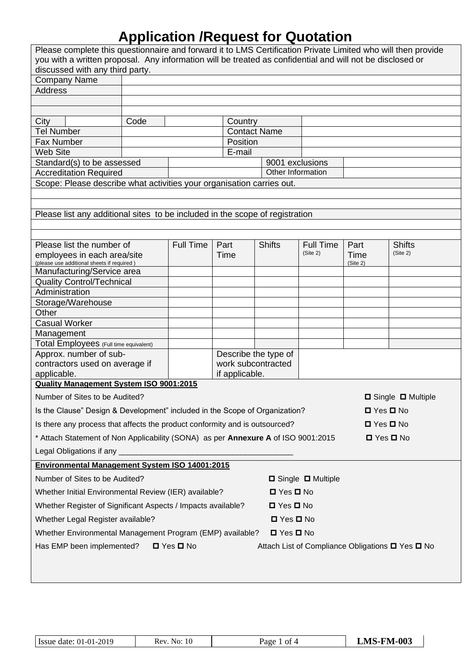| Please complete this questionnaire and forward it to LMS Certification Private Limited who will then provide     |      |                  |                |                      |                  |          |               |
|------------------------------------------------------------------------------------------------------------------|------|------------------|----------------|----------------------|------------------|----------|---------------|
| you with a written proposal. Any information will be treated as confidential and will not be disclosed or        |      |                  |                |                      |                  |          |               |
| discussed with any third party.                                                                                  |      |                  |                |                      |                  |          |               |
| <b>Company Name</b>                                                                                              |      |                  |                |                      |                  |          |               |
| <b>Address</b>                                                                                                   |      |                  |                |                      |                  |          |               |
|                                                                                                                  |      |                  |                |                      |                  |          |               |
|                                                                                                                  |      |                  |                |                      |                  |          |               |
| City                                                                                                             | Code |                  | Country        |                      |                  |          |               |
| <b>Tel Number</b>                                                                                                |      |                  | Position       | <b>Contact Name</b>  |                  |          |               |
| Fax Number<br><b>Web Site</b>                                                                                    |      |                  | E-mail         |                      |                  |          |               |
| Standard(s) to be assessed                                                                                       |      |                  |                | 9001 exclusions      |                  |          |               |
| <b>Accreditation Required</b>                                                                                    |      |                  |                | Other Information    |                  |          |               |
| Scope: Please describe what activities your organisation carries out.                                            |      |                  |                |                      |                  |          |               |
|                                                                                                                  |      |                  |                |                      |                  |          |               |
|                                                                                                                  |      |                  |                |                      |                  |          |               |
| Please list any additional sites to be included in the scope of registration                                     |      |                  |                |                      |                  |          |               |
|                                                                                                                  |      |                  |                |                      |                  |          |               |
|                                                                                                                  |      |                  |                |                      |                  |          |               |
| Please list the number of                                                                                        |      | <b>Full Time</b> | Part           | <b>Shifts</b>        | <b>Full Time</b> | Part     | <b>Shifts</b> |
| employees in each area/site                                                                                      |      |                  | Time           |                      | (Site 2)         | Time     | (Site 2)      |
| (please use additional sheets if required)<br>Manufacturing/Service area                                         |      |                  |                |                      |                  | (Site 2) |               |
| <b>Quality Control/Technical</b>                                                                                 |      |                  |                |                      |                  |          |               |
| Administration                                                                                                   |      |                  |                |                      |                  |          |               |
| Storage/Warehouse                                                                                                |      |                  |                |                      |                  |          |               |
| Other                                                                                                            |      |                  |                |                      |                  |          |               |
| <b>Casual Worker</b>                                                                                             |      |                  |                |                      |                  |          |               |
| Management                                                                                                       |      |                  |                |                      |                  |          |               |
| Total Employees (Full time equivalent)                                                                           |      |                  |                |                      |                  |          |               |
| Approx. number of sub-                                                                                           |      |                  |                | Describe the type of |                  |          |               |
| contractors used on average if                                                                                   |      |                  |                | work subcontracted   |                  |          |               |
| applicable.                                                                                                      |      |                  | if applicable. |                      |                  |          |               |
| <b>Quality Management System ISO 9001:2015</b>                                                                   |      |                  |                |                      |                  |          |               |
| Number of Sites to be Audited?<br>□ Single □ Multiple                                                            |      |                  |                |                      |                  |          |               |
| Is the Clause" Design & Development" included in the Scope of Organization?<br>$\Box$ Yes $\Box$ No              |      |                  |                |                      |                  |          |               |
|                                                                                                                  |      |                  |                |                      |                  |          |               |
| Is there any process that affects the product conformity and is outsourced?<br>$\Box$ Yes $\Box$ No              |      |                  |                |                      |                  |          |               |
| * Attach Statement of Non Applicability (SONA) as per <b>Annexure A</b> of ISO 9001:2015<br>$\Box$ Yes $\Box$ No |      |                  |                |                      |                  |          |               |
| Legal Obligations if any _                                                                                       |      |                  |                |                      |                  |          |               |
| Environmental Management System ISO 14001:2015                                                                   |      |                  |                |                      |                  |          |               |
| Number of Sites to be Audited?<br>□ Single □ Multiple                                                            |      |                  |                |                      |                  |          |               |
| Whether Initial Environmental Review (IER) available?<br>$\Box$ Yes $\Box$ No                                    |      |                  |                |                      |                  |          |               |
|                                                                                                                  |      |                  |                |                      |                  |          |               |
| Whether Register of Significant Aspects / Impacts available?<br>$\Box$ Yes $\Box$ No                             |      |                  |                |                      |                  |          |               |
| Whether Legal Register available?<br>$\Box$ Yes $\Box$ No                                                        |      |                  |                |                      |                  |          |               |
| Whether Environmental Management Program (EMP) available?<br>$\Box$ Yes $\Box$ No                                |      |                  |                |                      |                  |          |               |
| Has EMP been implemented?<br>$\Box$ Yes $\Box$ No<br>Attach List of Compliance Obligations □ Yes □ No            |      |                  |                |                      |                  |          |               |
|                                                                                                                  |      |                  |                |                      |                  |          |               |
|                                                                                                                  |      |                  |                |                      |                  |          |               |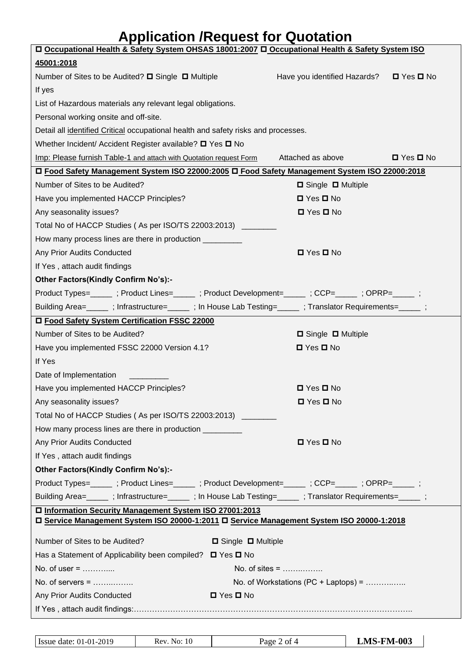| D Occupational Health & Safety System OHSAS 18001:2007 D Occupational Health & Safety System ISO                                                                                                                               |                               |                                               |                      |
|--------------------------------------------------------------------------------------------------------------------------------------------------------------------------------------------------------------------------------|-------------------------------|-----------------------------------------------|----------------------|
| 45001:2018                                                                                                                                                                                                                     |                               |                                               |                      |
| Number of Sites to be Audited? □ Single □ Multiple                                                                                                                                                                             |                               | Have you identified Hazards?                  | $\Box$ Yes $\Box$ No |
| If yes                                                                                                                                                                                                                         |                               |                                               |                      |
| List of Hazardous materials any relevant legal obligations.                                                                                                                                                                    |                               |                                               |                      |
| Personal working onsite and off-site.                                                                                                                                                                                          |                               |                                               |                      |
| Detail all identified Critical occupational health and safety risks and processes.                                                                                                                                             |                               |                                               |                      |
| Whether Incident/ Accident Register available? O Yes O No                                                                                                                                                                      |                               |                                               |                      |
| Imp: Please furnish Table-1 and attach with Quotation request Form                                                                                                                                                             |                               | Attached as above                             | $\Box$ Yes $\Box$ No |
| □ Food Safety Management System ISO 22000:2005 □ Food Safety Management System ISO 22000:2018                                                                                                                                  |                               |                                               |                      |
| Number of Sites to be Audited?                                                                                                                                                                                                 |                               | □ Single □ Multiple                           |                      |
| Have you implemented HACCP Principles?                                                                                                                                                                                         |                               | $\Box$ Yes $\Box$ No                          |                      |
| Any seasonality issues?                                                                                                                                                                                                        |                               | $\Box$ Yes $\Box$ No                          |                      |
| Total No of HACCP Studies (As per ISO/TS 22003:2013) _________                                                                                                                                                                 |                               |                                               |                      |
| How many process lines are there in production __________                                                                                                                                                                      |                               |                                               |                      |
| Any Prior Audits Conducted                                                                                                                                                                                                     |                               | $\Box$ Yes $\Box$ No                          |                      |
| If Yes, attach audit findings                                                                                                                                                                                                  |                               |                                               |                      |
| Other Factors(Kindly Confirm No's):-                                                                                                                                                                                           |                               |                                               |                      |
| Product Types=_______; Product Lines=_______; Product Development=______; CCP=______; OPRP=______;                                                                                                                             |                               |                                               |                      |
| Building Area=  _______; Infrastructure= ______; In House Lab Testing= ______; Translator Requirements= ______;                                                                                                                |                               |                                               |                      |
| □ Food Safety System Certification FSSC 22000                                                                                                                                                                                  |                               |                                               |                      |
| Number of Sites to be Audited?                                                                                                                                                                                                 |                               | □ Single □ Multiple                           |                      |
| Have you implemented FSSC 22000 Version 4.1?                                                                                                                                                                                   |                               | $\Box$ Yes $\Box$ No                          |                      |
| If Yes                                                                                                                                                                                                                         |                               |                                               |                      |
| Date of Implementation                                                                                                                                                                                                         |                               |                                               |                      |
| Have you implemented HACCP Principles?                                                                                                                                                                                         |                               | $\Box$ Yes $\Box$ No                          |                      |
| Any seasonality issues?                                                                                                                                                                                                        |                               | □ Yes □ No                                    |                      |
| Total No of HACCP Studies (As per ISO/TS 22003:2013) _________                                                                                                                                                                 |                               |                                               |                      |
| How many process lines are there in production __________                                                                                                                                                                      |                               |                                               |                      |
| Any Prior Audits Conducted                                                                                                                                                                                                     |                               | $\Box$ Yes $\Box$ No                          |                      |
| If Yes, attach audit findings                                                                                                                                                                                                  |                               |                                               |                      |
| Other Factors(Kindly Confirm No's):-                                                                                                                                                                                           |                               |                                               |                      |
| Product Types=______; Product Lines=______; Product Development=_____; CCP=_____; OPRP=_____;                                                                                                                                  |                               |                                               |                      |
| Building Area= ightarrow curve infrastructure= ightarrow ; in House Lab Testing= ightarrow ; infrastructure= ightarrow ; infrastructure= ightarrow ; infrastructure= ightarrow ; infrastructure= ightarrow ; infrastructure= i |                               |                                               |                      |
| □ Information Security Management System ISO 27001:2013                                                                                                                                                                        |                               |                                               |                      |
| □ Service Management System ISO 20000-1:2011 □ Service Management System ISO 20000-1:2018                                                                                                                                      |                               |                                               |                      |
| Number of Sites to be Audited?                                                                                                                                                                                                 | $\Box$ Single $\Box$ Multiple |                                               |                      |
| Has a Statement of Applicability been compiled? $\Box$ Yes $\Box$ No                                                                                                                                                           |                               |                                               |                      |
| No. of user $=$                                                                                                                                                                                                                | No. of sites = $\dots$        |                                               |                      |
| No. of servers = $\dots$                                                                                                                                                                                                       |                               | No. of Workstations (PC + Laptops) = $\ldots$ |                      |
| Any Prior Audits Conducted                                                                                                                                                                                                     | $\Box$ Yes $\Box$ No          |                                               |                      |
|                                                                                                                                                                                                                                |                               |                                               |                      |
|                                                                                                                                                                                                                                |                               |                                               |                      |
|                                                                                                                                                                                                                                |                               |                                               |                      |

| $-$<br>Issue date: 01-01-2019 | -10<br>Rev<br>N0. | ΟÌ<br>age | F <b>M-003</b><br>IV / |
|-------------------------------|-------------------|-----------|------------------------|
|                               |                   |           |                        |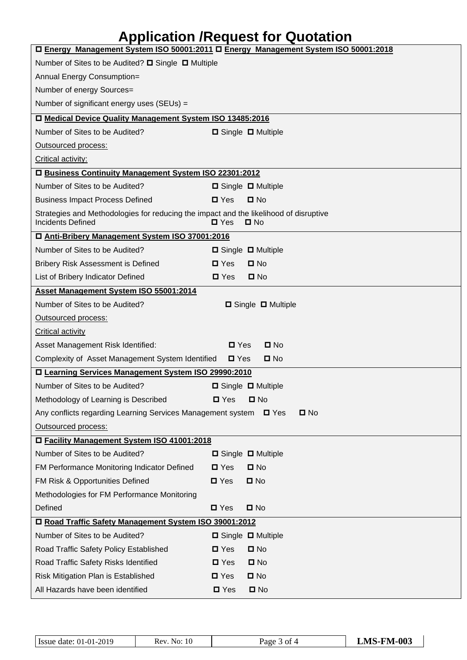| □ Energy Management System ISO 50001:2011 □ Energy Management System ISO 50001:2018                               |                                    |  |  |  |
|-------------------------------------------------------------------------------------------------------------------|------------------------------------|--|--|--|
| Number of Sites to be Audited? □ Single □ Multiple                                                                |                                    |  |  |  |
| Annual Energy Consumption=                                                                                        |                                    |  |  |  |
| Number of energy Sources=                                                                                         |                                    |  |  |  |
| Number of significant energy uses (SEUs) =                                                                        |                                    |  |  |  |
| □ Medical Device Quality Management System ISO 13485:2016                                                         |                                    |  |  |  |
| Number of Sites to be Audited?                                                                                    | □ Single □ Multiple                |  |  |  |
| Outsourced process:                                                                                               |                                    |  |  |  |
| Critical activity:                                                                                                |                                    |  |  |  |
| □ Business Continuity Management System ISO 22301:2012                                                            |                                    |  |  |  |
| Number of Sites to be Audited?                                                                                    | $\Box$ Single $\Box$ Multiple      |  |  |  |
| <b>Business Impact Process Defined</b>                                                                            | $\square$ Yes<br>$\square$ No      |  |  |  |
| Strategies and Methodologies for reducing the impact and the likelihood of disruptive<br><b>Incidents Defined</b> | $\square$ Yes<br>$\Box$ No         |  |  |  |
| □ Anti-Bribery Management System ISO 37001:2016                                                                   |                                    |  |  |  |
| Number of Sites to be Audited?                                                                                    | $\Box$ Single $\Box$ Multiple      |  |  |  |
| Bribery Risk Assessment is Defined                                                                                | $\Box$ No<br>$\blacksquare$ Yes    |  |  |  |
| List of Bribery Indicator Defined                                                                                 | $\square$ Yes<br>$\square$ No      |  |  |  |
| Asset Management System ISO 55001:2014                                                                            |                                    |  |  |  |
| Number of Sites to be Audited?                                                                                    | $\Box$ Single $\Box$ Multiple      |  |  |  |
| Outsourced process:                                                                                               |                                    |  |  |  |
| <b>Critical activity</b>                                                                                          |                                    |  |  |  |
| Asset Management Risk Identified:                                                                                 | $\blacksquare$ Yes<br>$\square$ No |  |  |  |
| Complexity of Asset Management System Identified                                                                  | $\square$ No<br>$\square$ Yes      |  |  |  |
| □ Learning Services Management System ISO 29990:2010                                                              |                                    |  |  |  |
| Number of Sites to be Audited?                                                                                    | □ Single □ Multiple                |  |  |  |
| Methodology of Learning is Described                                                                              | $\square$ Yes<br>$\square$ No      |  |  |  |
| Any conflicts regarding Learning Services Management system<br>$\square$ No<br>$\blacksquare$ Yes                 |                                    |  |  |  |
| Outsourced process:                                                                                               |                                    |  |  |  |
| □ Facility Management System ISO 41001:2018                                                                       |                                    |  |  |  |
| Number of Sites to be Audited?                                                                                    | $\Box$ Single $\Box$ Multiple      |  |  |  |
| FM Performance Monitoring Indicator Defined                                                                       | $\square$ Yes<br>$\square$ No      |  |  |  |
| FM Risk & Opportunities Defined                                                                                   | $\square$ Yes<br>$\square$ No      |  |  |  |
| Methodologies for FM Performance Monitoring                                                                       |                                    |  |  |  |
| Defined                                                                                                           | $\blacksquare$ Yes<br>$\square$ No |  |  |  |
| □ Road Traffic Safety Management System ISO 39001:2012                                                            |                                    |  |  |  |
| Number of Sites to be Audited?                                                                                    | □ Single □ Multiple                |  |  |  |
| Road Traffic Safety Policy Established                                                                            | $\Box$ No<br>$\blacksquare$ Yes    |  |  |  |
| Road Traffic Safety Risks Identified                                                                              | $\square$ Yes<br>$\square$ No      |  |  |  |
| Risk Mitigation Plan is Established                                                                               | $\square$ No<br>$\square$ Yes      |  |  |  |
| All Hazards have been identified                                                                                  | $\square$ Yes<br>$\square$ No      |  |  |  |

| Issue date: 01-01-2019 | 10<br>No:<br>Rev. | age.<br>- OT | <b>LMS-FM-003</b> |
|------------------------|-------------------|--------------|-------------------|